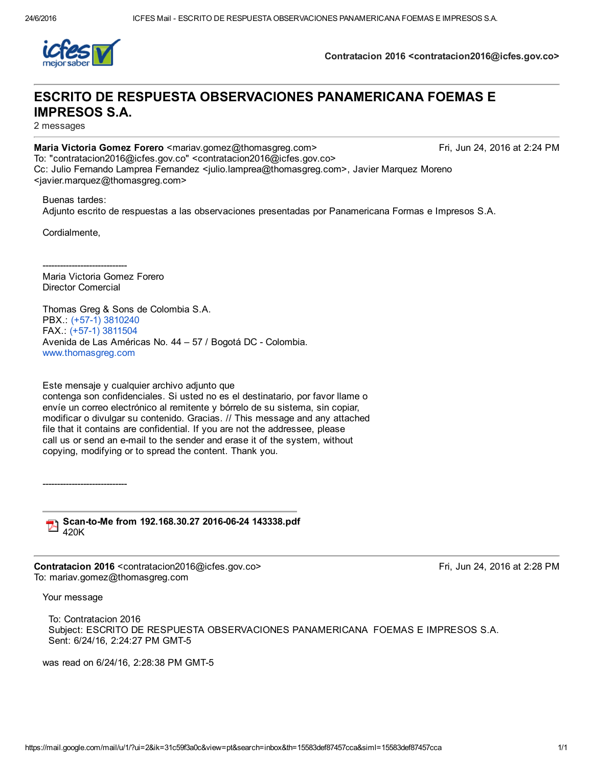

Contratacion 2016 <contratacion2016@icfes.gov.co>

# ESCRITO DE RESPUESTA OBSERVACIONES PANAMERICANA FOEMAS E IMPRESOS S.A.

2 messages

Maria Victoria Gomez Forero <mariav.gomez@thomasgreg.com> Fri, Jun 24, 2016 at 2:24 PM To: "contratacion2016@icfes.gov.co" <contratacion2016@icfes.gov.co> Cc: Julio Fernando Lamprea Fernandez <julio.lamprea@thomasgreg.com>, Javier Marquez Moreno <javier.marquez@thomasgreg.com>

Buenas tardes: Adjunto escrito de respuestas a las observaciones presentadas por Panamericana Formas e Impresos S.A.

Cordialmente,

-----------------------------Maria Victoria Gomez Forero Director Comercial

Thomas Greg & Sons de Colombia S.A. PBX.: (+57-1) [3810240](tel:%28%2B57-1%29%203810240) FAX. (+57-1) [3811504](tel:%28%2B57-1%29%203811504) Avenida de Las Américas No. 44 - 57 / Bogotá DC - Colombia. [www.thomasgreg.com](http://www.thomasgreg.com/)

Este mensaje y cualquier archivo adjunto que contenga son confidenciales. Si usted no es el destinatario, por favor llame o envíe un correo electrónico al remitente y bórrelo de su sistema, sin copiar, modificar o divulgar su contenido. Gracias. // This message and any attached file that it contains are confidential. If you are not the addressee, please call us or send an e-mail to the sender and erase it of the system, without copying, modifying or to spread the content. Thank you.

Scan-to-Me from 192.168.30.27 2016-06-24 143338.pdf

420K

------------------------------

Contratacion 2016 <contratacion2016@icfes.gov.co> Fri, Jun 24, 2016 at 2:28 PM To: mariav.gomez@thomasgreg.com

Your message

To: Contratacion 2016 Subject: ESCRITO DE RESPUESTA OBSERVACIONES PANAMERICANA FOEMAS E IMPRESOS S.A. Sent: 6/24/16, 2:24:27 PM GMT-5

was read on 6/24/16, 2:28:38 PM GMT-5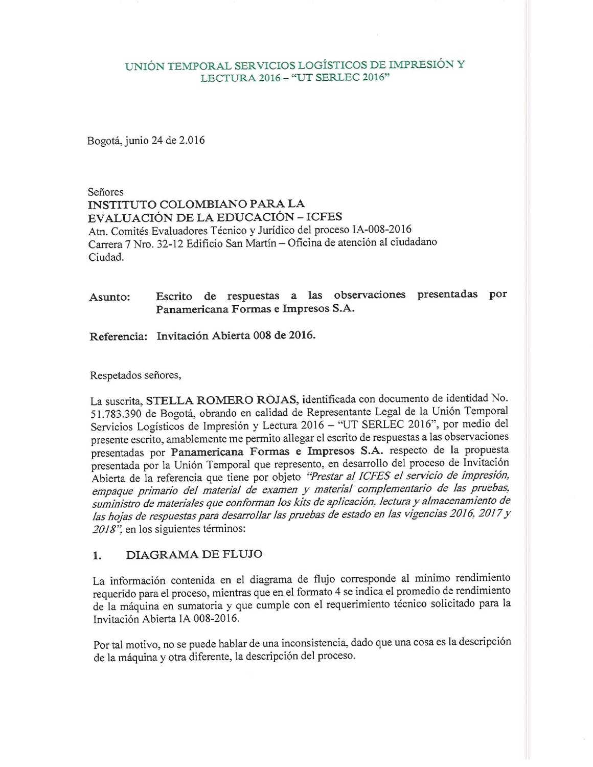### UNIÓN TEMPORAL SERVICIOS LOGÍSTICOS DE IMPRESIÓN Y LECTURA 2016 - "UT SERLEC 2016"

Bogotá, junio 24 de 2.016

Señores **INSTITUTO COLOMBIANO PARA LA** EVALUACIÓN DE LA EDUCACIÓN - ICFES Atn. Comités Evaluadores Técnico y Jurídico del proceso IA-008-2016 Carrera 7 Nro. 32-12 Edificio San Martín - Oficina de atención al ciudadano Ciudad.

### Escrito de respuestas a las observaciones presentadas por Asunto: Panamericana Formas e Impresos S.A.

Referencia: Invitación Abierta 008 de 2016.

Respetados señores,

La suscrita, STELLA ROMERO ROJAS, identificada con documento de identidad No. 51.783.390 de Bogotá, obrando en calidad de Representante Legal de la Unión Temporal Servicios Logísticos de Impresión y Lectura 2016 - "UT SERLEC 2016", por medio del presente escrito, amablemente me permito allegar el escrito de respuestas a las observaciones presentadas por Panamericana Formas e Impresos S.A. respecto de la propuesta presentada por la Unión Temporal que represento, en desarrollo del proceso de Invitación Abierta de la referencia que tiene por objeto "Prestar al ICFES el servicio de impresión, empaque primario del material de examen y material complementario de las pruebas, suministro de materiales que conforman los kits de aplicación, lectura y almacenamiento de las hojas de respuestas para desarrollar las pruebas de estado en las vigencias 2016, 2017 y 2018" en los siguientes términos:

#### DIAGRAMA DE FLUJO  $1.$

La información contenida en el diagrama de flujo corresponde al mínimo rendimiento requerido para el proceso, mientras que en el formato 4 se indica el promedio de rendimiento de la máquina en sumatoria y que cumple con el requerimiento técnico solicitado para la Invitación Abierta IA 008-2016.

Por tal motivo, no se puede hablar de una inconsistencia, dado que una cosa es la descripción de la máquina y otra diferente, la descripción del proceso.